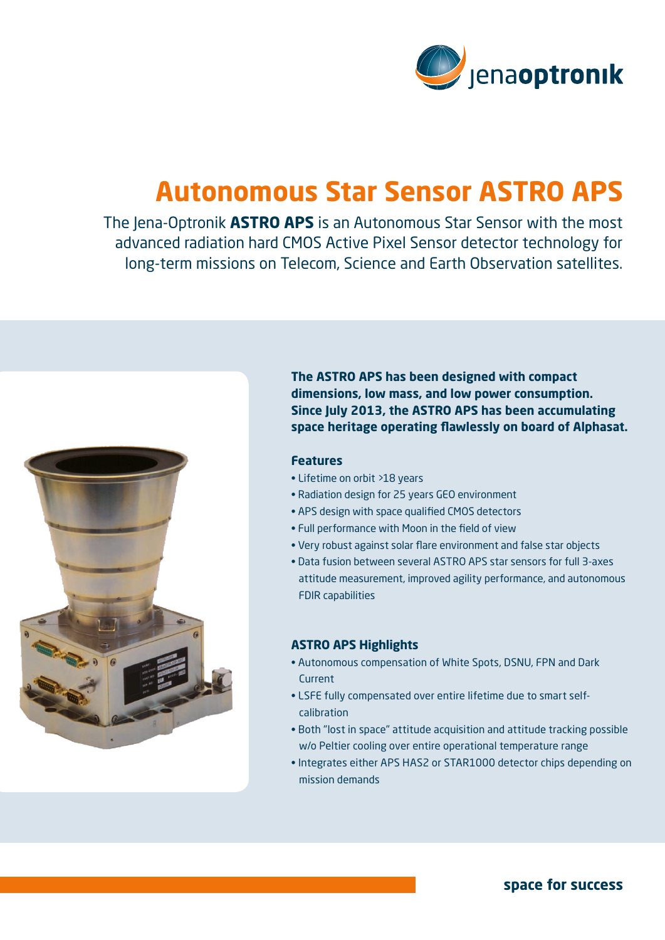

## **Autonomous Star Sensor ASTRO APS**

The Jena-Optronik **ASTRO APS** is an Autonomous Star Sensor with the most advanced radiation hard CMOS Active Pixel Sensor detector technology for long-term missions on Telecom, Science and Earth Observation satellites.



**The ASTRO APS has been designed with compact dimensions, low mass, and low power consumption. Since July 2013, the ASTRO APS has been accumulating space heritage operating flawlessly on board of Alphasat.**

## **Features**

- Lifetime on orbit >18 years
- Radiation design for 25 years GEO environment
- APS design with space qualified CMOS detectors
- Full performance with Moon in the field of view
- Very robust against solar flare environment and false star objects
- Data fusion between several ASTRO APS star sensors for full 3-axes attitude measurement, improved agility performance, and autonomous FDIR capabilities

## **ASTRO APS Highlights**

- Autonomous compensation of White Spots, DSNU, FPN and Dark Current
- LSFE fully compensated over entire lifetime due to smart self calibration
- Both "lost in space" attitude acquisition and attitude tracking possible w/o Peltier cooling over entire operational temperature range
- Integrates either APS HAS2 or STAR1000 detector chips depending on mission demands